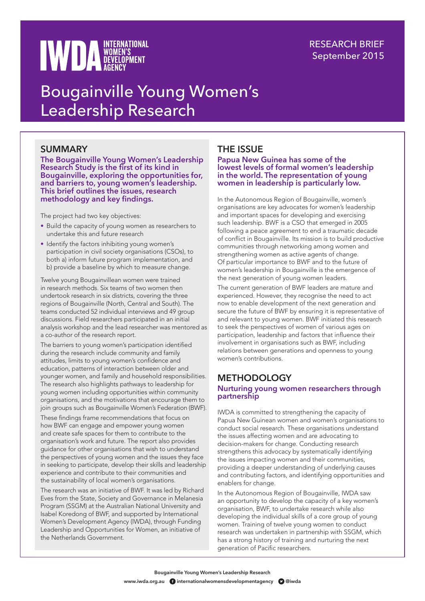# **WED A WOMEN'S**

# RESEARCH BRIEF September 2015

# Bougainville Young Women's Leadership Research

# SUMMARY

**The Bougainville Young Women's Leadership Research Study is the first of its kind in Bougainville, exploring the opportunities for, and barriers to, young women's leadership. This brief outlines the issues, research methodology and key findings.** 

The project had two key objectives:

- Build the capacity of young women as researchers to undertake this and future research
- Identify the factors inhibiting young women's participation in civil society organisations (CSOs), to both a) inform future program implementation, and b) provide a baseline by which to measure change.

Twelve young Bougainvillean women were trained in research methods. Six teams of two women then undertook research in six districts, covering the three regions of Bougainville (North, Central and South). The teams conducted 52 individual interviews and 49 group discussions. Field researchers participated in an initial analysis workshop and the lead researcher was mentored as a co-author of the research report.

The barriers to young women's participation identified during the research include community and family attitudes, limits to young women's confidence and education, patterns of interaction between older and younger women, and family and household responsibilities. The research also highlights pathways to leadership for young women including opportunities within community organisations, and the motivations that encourage them to join groups such as Bougainville Women's Federation (BWF).

These findings frame recommendations that focus on how BWF can engage and empower young women and create safe spaces for them to contribute to the organisation's work and future. The report also provides guidance for other organisations that wish to understand the perspectives of young women and the issues they face in seeking to participate, develop their skills and leadership experience and contribute to their communities and the sustainability of local women's organisations.

The research was an initiative of BWF. It was led by Richard Eves from the State, Society and Governance in Melanesia Program (SSGM) at the Australian National University and Isabel Koredong of BWF, and supported by International Women's Development Agency (IWDA), through Funding Leadership and Opportunities for Women, an initiative of the Netherlands Government.

# THE ISSUE

**Papua New Guinea has some of the lowest levels of formal women's leadership in the world. The representation of young women in leadership is particularly low.**

In the Autonomous Region of Bougainville, women's organisations are key advocates for women's leadership and important spaces for developing and exercising such leadership. BWF is a CSO that emerged in 2005 following a peace agreement to end a traumatic decade of conflict in Bougainville. Its mission is to build productive communities through networking among women and strengthening women as active agents of change. Of particular importance to BWF and to the future of women's leadership in Bougainville is the emergence of the next generation of young women leaders.

The current generation of BWF leaders are mature and experienced. However, they recognise the need to act now to enable development of the next generation and secure the future of BWF by ensuring it is representative of and relevant to young women. BWF initiated this research to seek the perspectives of women of various ages on participation, leadership and factors that influence their involvement in organisations such as BWF, including relations between generations and openness to young women's contributions.

# **METHODOLOGY**

#### **Nurturing young women researchers through partnership**

IWDA is committed to strengthening the capacity of Papua New Guinean women and women's organisations to conduct social research. These organisations understand the issues affecting women and are advocating to decision-makers for change. Conducting research strengthens this advocacy by systematically identifying the issues impacting women and their communities, providing a deeper understanding of underlying causes and contributing factors, and identifying opportunities and enablers for change.

In the Autonomous Region of Bougainville, IWDA saw an opportunity to develop the capacity of a key women's organisation, BWF, to undertake research while also developing the individual skills of a core group of young women. Training of twelve young women to conduct research was undertaken in partnership with SSGM, which has a strong history of training and nurturing the next generation of Pacific researchers.